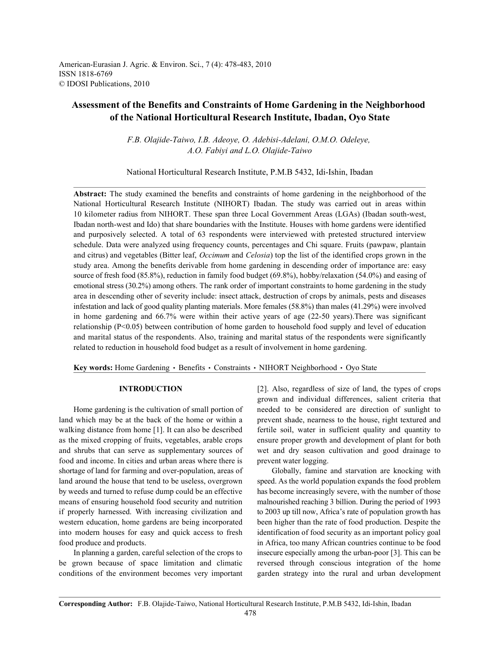American-Eurasian J. Agric. & Environ. Sci., 7 (4): 478-483, 2010 ISSN 1818-6769 © IDOSI Publications, 2010

# **Assessment of the Benefits and Constraints of Home Gardening in the Neighborhood of the National Horticultural Research Institute, Ibadan, Oyo State**

*F.B. Olajide-Taiwo, I.B. Adeoye, O. Adebisi-Adelani, O.M.O. Odeleye, A.O. Fabiyi and L.O. Olajide-Taiwo*

National Horticultural Research Institute, P.M.B 5432, Idi-Ishin, Ibadan

**Abstract:** The study examined the benefits and constraints of home gardening in the neighborhood of the National Horticultural Research Institute (NIHORT) Ibadan. The study was carried out in areas within 10 kilometer radius from NIHORT. These span three Local Government Areas (LGAs) (Ibadan south-west, Ibadan north-west and Ido) that share boundaries with the Institute. Houses with home gardens were identified and purposively selected. A total of 63 respondents were interviewed with pretested structured interview schedule. Data were analyzed using frequency counts, percentages and Chi square. Fruits (pawpaw, plantain and citrus) and vegetables (Bitter leaf, *Occimum* and *Celosia*) top the list of the identified crops grown in the study area. Among the benefits derivable from home gardening in descending order of importance are: easy source of fresh food (85.8%), reduction in family food budget (69.8%), hobby/relaxation (54.0%) and easing of emotional stress (30.2%) among others. The rank order of important constraints to home gardening in the study area in descending other of severity include: insect attack, destruction of crops by animals, pests and diseases infestation and lack of good quality planting materials. More females (58.8%) than males (41.29%) were involved in home gardening and 66.7% were within their active years of age (22-50 years).There was significant relationship (P<0.05) between contribution of home garden to household food supply and level of education and marital status of the respondents. Also, training and marital status of the respondents were significantly related to reduction in household food budget as a result of involvement in home gardening.

Key words: Home Gardening · Benefits · Constraints · NIHORT Neighborhood · Oyo State

land which may be at the back of the home or within a prevent shade, nearness to the house, right textured and walking distance from home [1]. It can also be described fertile soil, water in sufficient quality and quantity to as the mixed cropping of fruits, vegetables, arable crops ensure proper growth and development of plant for both and shrubs that can serve as supplementary sources of wet and dry season cultivation and good drainage to food and income. In cities and urban areas where there is prevent water logging. shortage of land for farming and over-population, areas of Globally, famine and starvation are knocking with land around the house that tend to be useless, overgrown speed. As the world population expands the food problem by weeds and turned to refuse dump could be an effective has become increasingly severe, with the number of those means of ensuring household food security and nutrition malnourished reaching 3 billion. During the period of 1993 if properly harnessed. With increasing civilization and to 2003 up till now, Africa's rate of population growth has western education, home gardens are being incorporated been higher than the rate of food production. Despite the into modern houses for easy and quick access to fresh identification of food security as an important policy goal food produce and products. in Africa, too many African countries continue to be food

be grown because of space limitation and climatic reversed through conscious integration of the home conditions of the environment becomes very important garden strategy into the rural and urban development

**INTRODUCTION** [2]. Also, regardless of size of land, the types of crops Home gardening is the cultivation of small portion of needed to be considered are direction of sunlight to grown and individual differences, salient criteria that

In planning a garden, careful selection of the crops to insecure especially among the urban-poor [3]. This can be

**Corresponding Author:** F.B. Olajide-Taiwo, National Horticultural Research Institute, P.M.B 5432, Idi-Ishin, Ibadan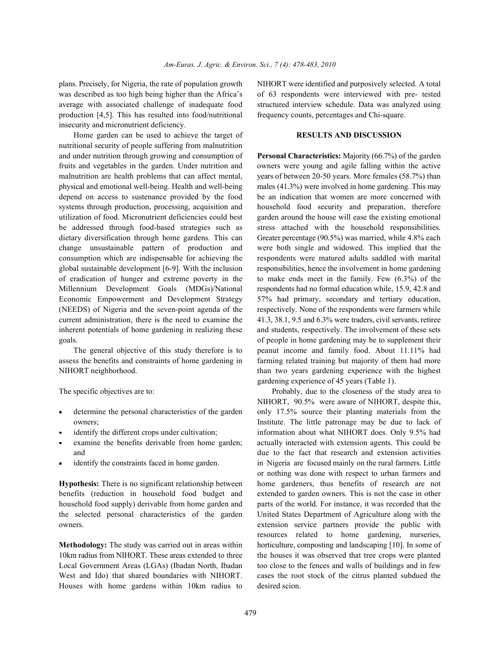plans. Precisely, for Nigeria, the rate of population growth NIHORT were identified and purposively selected. A total was described as too high being higher than the Africa's of 63 respondents were interviewed with pre- tested average with associated challenge of inadequate food structured interview schedule. Data was analyzed using production [4,5]. This has resulted into food/nutritional frequency counts, percentages and Chi-square. insecurity and micronutrient deficiency.

Home garden can be used to achieve the target of **RESULTS AND DISCUSSION** nutritional security of people suffering from malnutrition and under nutrition through growing and consumption of **Personal Characteristics:** Majority (66.7%) of the garden fruits and vegetables in the garden. Under nutrition and owners were young and agile falling within the active malnutrition are health problems that can affect mental, vears of between 20-50 years. More females (58.7%) than physical and emotional well-being. Health and well-being males (41.3%) were involved in home gardening. This may depend on access to sustenance provided by the food be an indication that women are more concerned with systems through production, processing, acquisition and household food security and preparation, therefore utilization of food. Micronutrient deficiencies could best garden around the house will ease the existing emotional be addressed through food-based strategies such as stress attached with the household responsibilities. dietary diversification through home gardens. This can Greater percentage (90.5%) was married, while 4.8% each change unsustainable pattern of production and were both single and widowed. This implied that the consumption which are indispensable for achieving the respondents were matured adults saddled with marital global sustainable development [6-9]. With the inclusion responsibilities, hence the involvement in home gardening of eradication of hunger and extreme poverty in the to make ends meet in the family. Few (6.3%) of the Millennium Development Goals (MDGs)/National respondents had no formal education while, 15.9, 42.8 and Economic Empowerment and Development Strategy 57% had primary, secondary and tertiary education, (NEEDS) of Nigeria and the seven-point agenda of the respectively. None of the respondents were farmers while current administration, there is the need to examine the 41.3, 38.1, 9.5 and 6.3% were traders, civil servants, retiree inherent potentials of home gardening in realizing these and students, respectively. The involvement of these sets goals. of people in home gardening may be to supplement their

assess the benefits and constraints of home gardening in farming related training but majority of them had more NIHORT neighborhood. than two years gardening experience with the highest

- 
- 
- 
- 

benefits (reduction in household food budget and extended to garden owners. This is not the case in other household food supply) derivable from home garden and parts of the world. For instance, it was recorded that the the selected personal characteristics of the garden United States Department of Agriculture along with the owners. extension service partners provide the public with

10km radius from NIHORT. These areas extended to three the houses it was observed that tree crops were planted Local Government Areas (LGAs) (Ibadan North, Ibadan too close to the fences and walls of buildings and in few West and Ido) that shared boundaries with NIHORT. cases the root stock of the citrus planted subdued the Houses with home gardens within 10km radius to desired scion.

The general objective of this study therefore is to peanut income and family food. About 11.11% had gardening experience of 45 years (Table 1).

The specific objectives are to: Probably, due to the closeness of the study area to determine the personal characteristics of the garden only 17.5% source their planting materials from the owners; Institute. The little patronage may be due to lack of identify the different crops under cultivation; information about what NIHORT does. Only 9.5% had examine the benefits derivable from home garden; actually interacted with extension agents. This could be and due to the fact that research and extension activities identify the constraints faced in home garden. in Nigeria are focused mainly on the rural farmers. Little **Hypothesis:** There is no significant relationship between home gardeners, thus benefits of research are not **Methodology:** The study was carried out in areas within horticulture, composting and landscaping [10]. In some of NIHORT, 90.5% were aware of NIHORT, despite this, or nothing was done with respect to urban farmers and resources related to home gardening, nurseries,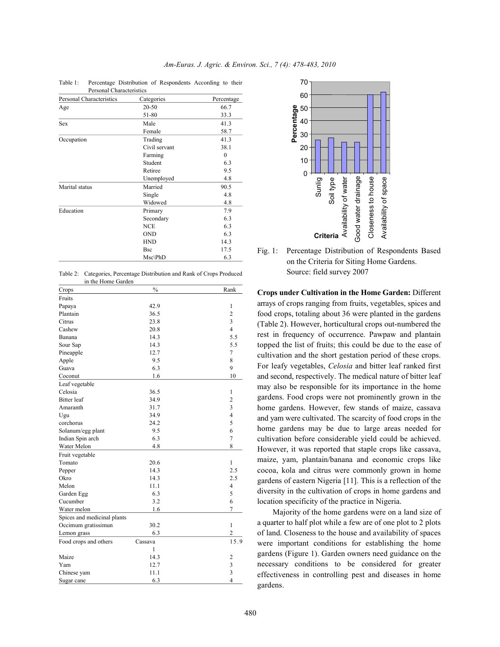| Personal Characteristics |               |            |
|--------------------------|---------------|------------|
| Personal Characteristics | Categories    | Percentage |
| Age                      | 20-50         | 66.7       |
|                          | 51-80         | 33.3       |
| <b>Sex</b>               | Male          | 41.3       |
|                          | Female        | 58.7       |
| Occupation               | Trading       | 41.3       |
|                          | Civil servant | 38.1       |
|                          | Farming       | $\theta$   |
|                          | Student       | 6.3        |
|                          | Retiree       | 9.5        |
|                          | Unemployed    | 4.8        |
| Marital status           | Married       | 90.5       |
|                          | Single        | 4.8        |
|                          | Widowed       | 4.8        |
| Education                | Primary       | 7.9        |
|                          | Secondary     | 6.3        |
|                          | <b>NCE</b>    | 6.3        |
|                          | <b>OND</b>    | 6.3        |
|                          | <b>HND</b>    | 14.3       |
|                          | <b>Bsc</b>    | 17.5       |
|                          | $Msc\Phi$     | 6.3        |

Table 1: Percentage Distribution of Respondents According to their Personal Characteristics

Table 2: Categories, Percentage Distribution and Rank of Crops Produced in the Home Garden

| Crops                       | $\frac{0}{0}$ | Rank                    |
|-----------------------------|---------------|-------------------------|
| Fruits                      |               |                         |
| Papaya                      | 42.9          | $\mathbf{1}$            |
| Plantain                    | 36.5          | $\overline{c}$          |
| Citrus                      | 23.8          | 3                       |
| Cashew                      | 20.8          | $\overline{4}$          |
| Banana                      | 14.3          | 5.5                     |
| Sour Sap                    | 14.3          | 5.5                     |
| Pineapple                   | 12.7          | 7                       |
| Apple                       | 9.5           | 8                       |
| Guava                       | 6.3           | 9                       |
| Coconut                     | 1.6           | 10                      |
| Leaf vegetable              |               |                         |
| Celosia                     | 36.5          | 1                       |
| <b>Bitter</b> leaf          | 34.9          | $\overline{c}$          |
| Amaranth                    | 31.7          | 3                       |
| Ugu                         | 34.9          | $\overline{4}$          |
| corchorus                   | 24.2          | 5                       |
| Solanum/egg plant           | 9.5           | 6                       |
| Indian Spin arch            | 6.3           | $\overline{7}$          |
| Water Melon                 | 4.8           | 8                       |
| Fruit vegetable             |               |                         |
| Tomato                      | 20.6          | 1                       |
| Pepper                      | 14.3          | 2.5                     |
| Okro                        | 14.3          | 2.5                     |
| Melon                       | 11.1          | $\overline{4}$          |
| Garden Egg                  | 6.3           | 5                       |
| Cucumber                    | 3.2           | 6                       |
| Water melon                 | 1.6           | 7                       |
| Spices and medicinal plants |               |                         |
| Occimum gratissimun         | 30.2          | $\mathbf{1}$            |
| Lemon grass                 | 6.3           | $\overline{c}$          |
| Food crops and others       | Cassava       | 15.9                    |
|                             | 1             |                         |
| Maize                       | 14.3          | $\overline{\mathbf{c}}$ |
| Yam                         | 12.7          | $\overline{\mathbf{3}}$ |
| Chinese yam                 | 11.1          | 3                       |
| Sugar cane                  | 6.3           | 4                       |



Fig. 1: Percentage Distribution of Respondents Based on the Criteria for Siting Home Gardens. Source: field survey 2007

**Crops under Cultivation in the Home Garden:** Different arrays of crops ranging from fruits, vegetables, spices and food crops, totaling about 36 were planted in the gardens (Table 2). However, horticultural crops out-numbered the rest in frequency of occurrence. Pawpaw and plantain topped the list of fruits; this could be due to the ease of cultivation and the short gestation period of these crops. For leafy vegetables, *Celosia* and bitter leaf ranked first and second, respectively. The medical nature of bitter leaf may also be responsible for its importance in the home gardens. Food crops were not prominently grown in the home gardens. However, few stands of maize, cassava and yam were cultivated. The scarcity of food crops in the home gardens may be due to large areas needed for cultivation before considerable yield could be achieved. However, it was reported that staple crops like cassava, maize, yam, plantain/banana and economic crops like cocoa, kola and citrus were commonly grown in home gardens of eastern Nigeria [11]. This is a reflection of the diversity in the cultivation of crops in home gardens and location specificity of the practice in Nigeria.

Majority of the home gardens were on a land size of a quarter to half plot while a few are of one plot to 2 plots of land. Closeness to the house and availability of spaces were important conditions for establishing the home gardens (Figure 1). Garden owners need guidance on the necessary conditions to be considered for greater effectiveness in controlling pest and diseases in home gardens.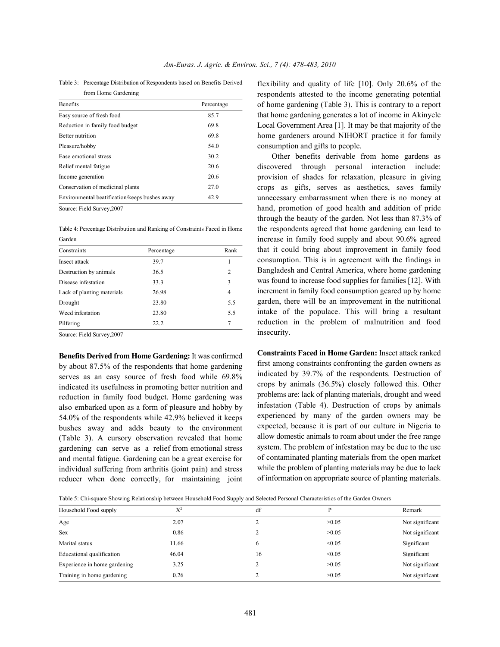Table 3: Percentage Distribution of Respondents based on Benefits Derived from Home Gardening

| <b>Benefits</b>                               | Percentage |
|-----------------------------------------------|------------|
| Easy source of fresh food                     | 85.7       |
| Reduction in family food budget               | 69.8       |
| <b>Better</b> nutrition                       | 69.8       |
| Pleasure/hobby                                | 54.0       |
| Ease emotional stress                         | 30.2       |
| Relief mental fatigue                         | 20.6       |
| Income generation                             | 20.6       |
| Conservation of medicinal plants              | 27.0       |
| Environmental beatification/keeps bushes away | 42.9       |

Source: Field Survey,2007

Table 4: Percentage Distribution and Ranking of Constraints Faced in Home Garden

| Constraints                | Percentage | Rank           |
|----------------------------|------------|----------------|
| Insect attack              | 39.7       |                |
| Destruction by animals     | 36.5       | $\overline{c}$ |
| Disease infestation        | 33.3       | 3              |
| Lack of planting materials | 26.98      | 4              |
| Drought                    | 23.80      | 5.5            |
| Weed infestation           | 23.80      | 5.5            |
| Pilfering                  | 22.2       | $\tau$         |

Source: Field Survey,2007

**Benefits Derived from Home Gardening:** It was confirmed by about 87.5% of the respondents that home gardening serves as an easy source of fresh food while 69.8% indicated its usefulness in promoting better nutrition and reduction in family food budget. Home gardening was also embarked upon as a form of pleasure and hobby by 54.0% of the respondents while 42.9% believed it keeps bushes away and adds beauty to the environment (Table 3). A cursory observation revealed that home gardening can serve as a relief from emotional stress and mental fatigue. Gardening can be a great exercise for individual suffering from arthritis (joint pain) and stress reducer when done correctly, for maintaining joint

flexibility and quality of life [10]. Only 20.6% of the respondents attested to the income generating potential of home gardening (Table 3). This is contrary to a report that home gardening generates a lot of income in Akinyele Local Government Area [1]. It may be that majority of the home gardeners around NIHORT practice it for family consumption and gifts to people.

Other benefits derivable from home gardens as discovered through personal interaction include: provision of shades for relaxation, pleasure in giving crops as gifts, serves as aesthetics, saves family unnecessary embarrassment when there is no money at hand, promotion of good health and addition of pride through the beauty of the garden. Not less than 87.3% of the respondents agreed that home gardening can lead to increase in family food supply and about 90.6% agreed that it could bring about improvement in family food consumption. This is in agreement with the findings in Bangladesh and Central America, where home gardening was found to increase food supplies for families [12]. With increment in family food consumption geared up by home garden, there will be an improvement in the nutritional intake of the populace. This will bring a resultant reduction in the problem of malnutrition and food insecurity.

**Constraints Faced in Home Garden:** Insect attack ranked first among constraints confronting the garden owners as indicated by 39.7% of the respondents. Destruction of crops by animals (36.5%) closely followed this. Other problems are: lack of planting materials, drought and weed infestation (Table 4). Destruction of crops by animals experienced by many of the garden owners may be expected, because it is part of our culture in Nigeria to allow domestic animals to roam about under the free range system. The problem of infestation may be due to the use of contaminated planting materials from the open market while the problem of planting materials may be due to lack of information on appropriate source of planting materials.

Table 5: Chi-square Showing Relationship between Household Food Supply and Selected Personal Characteristics of the Garden Owners

| Household Food supply        | $X^2$ | df |        | Remark          |
|------------------------------|-------|----|--------|-----------------|
| Age                          | 2.07  |    | >0.05  | Not significant |
| <b>Sex</b>                   | 0.86  |    | >0.05  | Not significant |
| Marital status               | 11.66 | 6  | < 0.05 | Significant     |
| Educational qualification    | 46.04 | 16 | < 0.05 | Significant     |
| Experience in home gardening | 3.25  |    | >0.05  | Not significant |
| Training in home gardening   | 0.26  |    | >0.05  | Not significant |
|                              |       |    |        |                 |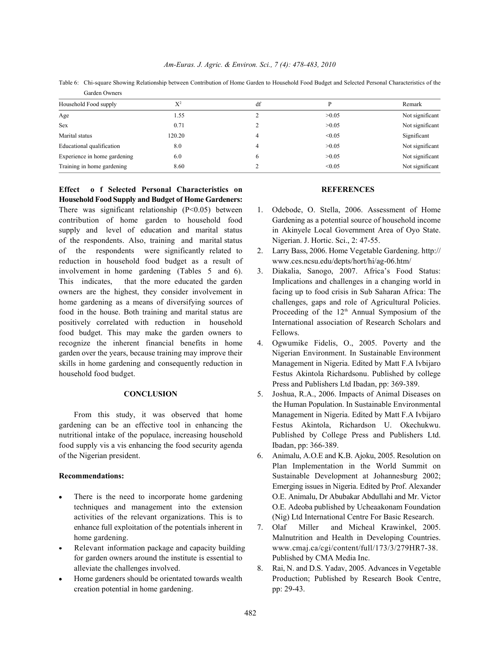Table 6: Chi-square Showing Relationship between Contribution of Home Garden to Household Food Budget and Selected Personal Characteristics of the Garden Owners

| Household Food supply        | $X^2$  | df |        | Remark          |
|------------------------------|--------|----|--------|-----------------|
| Age                          | 1.55   |    | >0.05  | Not significant |
| Sex                          | 0.71   |    | >0.05  | Not significant |
| Marital status               | 120.20 | 4  | < 0.05 | Significant     |
| Educational qualification    | 8.0    |    | >0.05  | Not significant |
| Experience in home gardening | 6.0    |    | >0.05  | Not significant |
| Training in home gardening   | 8.60   |    | < 0.05 | Not significant |

**Effect o f Selected Personal Characteristics on REFERENCES Household Food Supply and Budget of Home Gardeners:** There was significant relationship (P<0.05) between 1. Odebode, O. Stella, 2006. Assessment of Home contribution of home garden to household food Gardening as a potential source of household income supply and level of education and marital status in Akinyele Local Government Area of Oyo State. of the respondents. Also, training and marital status Nigerian. J. Hortic. Sci., 2: 47-55. of the respondents were significantly related to 2. Larry Bass, 2006. Home Vegetable Gardening. http:// reduction in household food budget as a result of www.ces.ncsu.edu/depts/hort/hi/ag-06.htm/ involvement in home gardening (Tables 5 and 6). 3. Diakalia, Sanogo, 2007. Africa's Food Status: This indicates, that the more educated the garden Implications and challenges in a changing world in owners are the highest, they consider involvement in facing up to food crisis in Sub Saharan Africa: The home gardening as a means of diversifying sources of challenges, gaps and role of Agricultural Policies. food in the house. Both training and marital status are positively correlated with reduction in household International association of Research Scholars and food budget. This may make the garden owners to Fellows. recognize the inherent financial benefits in home 4. Ogwumike Fidelis, O., 2005. Poverty and the garden over the years, because training may improve their Nigerian Environment. In Sustainable Environment skills in home gardening and consequently reduction in Management in Nigeria. Edited by Matt F.A Ivbijaro household food budget. Festus Akintola Richardsonu. Published by college

gardening can be an effective tool in enhancing the Festus Akintola, Richardson U. Okechukwu. nutritional intake of the populace, increasing household Published by College Press and Publishers Ltd. food supply vis a vis enhancing the food security agenda Ibadan, pp: 366-389. of the Nigerian president. 6. Animalu, A.O.E and K.B. Ajoku, 2005. Resolution on

- 
- for garden owners around the institute is essential to Published by CMA Media Inc. alleviate the challenges involved. 8. Rai, N. and D.S. Yadav, 2005. Advances in Vegetable
- creation potential in home gardening. pp: 29-43.

- 
- 
- Proceeding of the  $12<sup>th</sup>$  Annual Symposium of the
- Press and Publishers Ltd Ibadan, pp: 369-389.
- **CONCLUSION** 5. Joshua, R.A., 2006. Impacts of Animal Diseases on From this study, it was observed that home Management in Nigeria. Edited by Matt F.A Ivbijaro the Human Population. In Sustainable Environmental
- **Recommendations:** Sustainable Development at Johannesburg 2002; There is the need to incorporate home gardening O.E. Animalu, Dr Abubakar Abdullahi and Mr. Victor techniques and management into the extension O.E. Adeoba published by Ucheaakonam Foundation activities of the relevant organizations. This is to (Nig) Ltd International Centre For Basic Research. Plan Implementation in the World Summit on Emerging issues in Nigeria. Edited by Prof. Alexander
	- enhance full exploitation of the potentials inherent in 7. Olaf Miller and Micheal Krawinkel, 2005. home gardening. The matrix of the Malnutrition and Health in Developing Countries. Relevant information package and capacity building www.cmaj.ca/cgi/content/full/173/3/279HR7-38.
	- Home gardeners should be orientated towards wealth Production; Published by Research Book Centre,